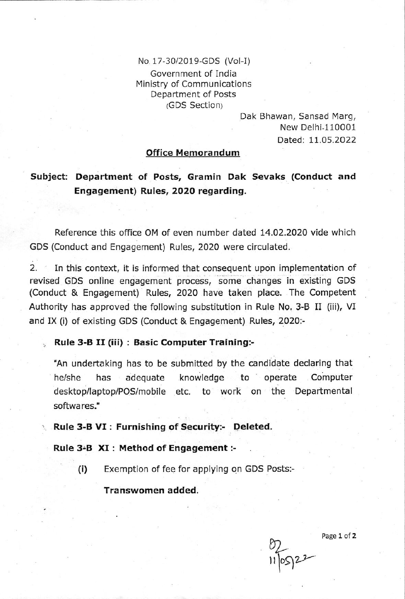No. 17-30/2019-GDS (Vol-I) Government of India Ministry of Communications Department of Posts (GDS Section)

> Dak Bhawan, Sansad Marg, New Delhi-110001 Dated: 11.05.2022

## office Memorandum

## Subject: Department of Posts, Gramin Dak Sevaks (Conduct and Engagement) Rules, 2020 regarding.

Reference this office OM of even number dated 14.02.2020 vide which GDS (Conduct and Engagement) Rules, 2O2O were circulated.

2. In this context, it is informed that consequent upon implementation of revised GDS online engagement process, some changes in existing GDS (Conduct & Engagement) Rules, 2020 have taken place. The Competent Authority has approved the following substitution in Rule No. 3-B II (iii), VI and IX (i) of existing GDS (Conduct & Engagement) Rules, 2020:-

## Rule 3-B II (iii) : Basic Computer Training:-

'An undertaking has to be submitted by the candidate declaring that he/she has adequate knowledge to operate Computer desktop/laptop/POS/mobile etc. to work on the Departmental softwares."

Rule 3-B VI : Furnishing of Security:- Deleted.

Rule 3-B XI : Method of Engagement :-

(i) Exemption of fee for applying on GDS Posts:-

Transwomen added.

 $116922$ 

Page 1 of Z